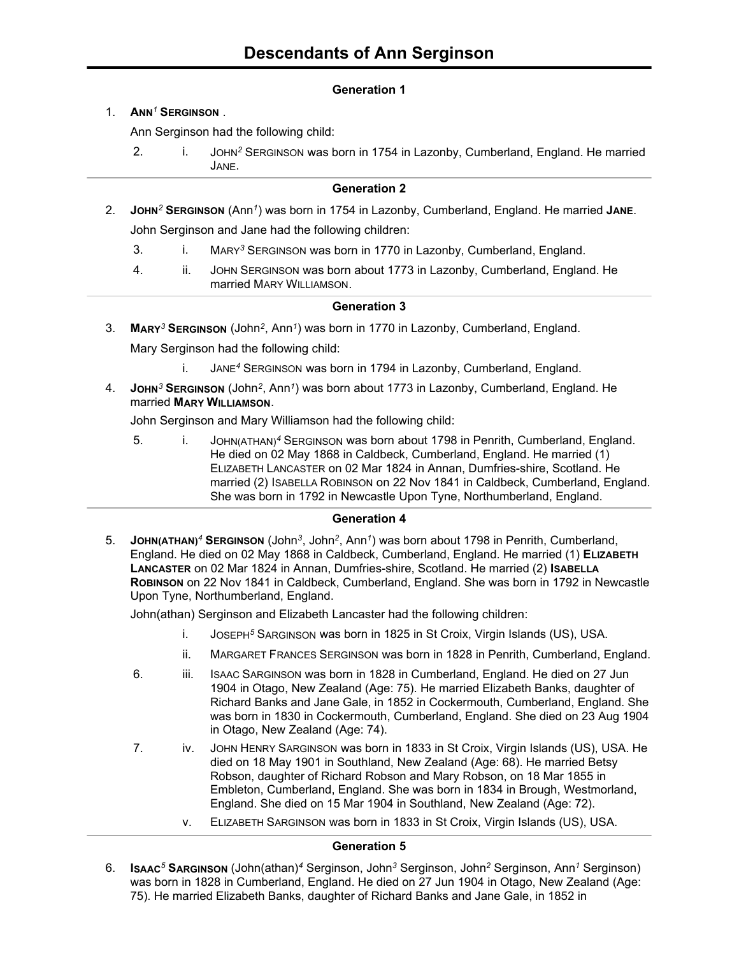# **Generation 1**

## 1. **ANN***<sup>1</sup>* **SERGINSON** .

Ann Serginson had the following child:

2. i. JOHN*<sup>2</sup>* SERGINSON was born in 1754 in Lazonby, Cumberland, England. He married JANE.

### **Generation 2**

- 2. **JOHN***<sup>2</sup>* **SERGINSON** (Ann*<sup>1</sup>* ) was born in 1754 in Lazonby, Cumberland, England. He married **JANE**. John Serginson and Jane had the following children:
	- 3. i. MARY*<sup>3</sup>* SERGINSON was born in 1770 in Lazonby, Cumberland, England.
	- 4. ii. JOHN SERGINSON was born about 1773 in Lazonby, Cumberland, England. He married MARY WILLIAMSON.

## **Generation 3**

- 3. **MARY***<sup>3</sup>* **SERGINSON** (John*<sup>2</sup>* , Ann*<sup>1</sup>* ) was born in 1770 in Lazonby, Cumberland, England. Mary Serginson had the following child:
	- i. JANE*<sup>4</sup>* SERGINSON was born in 1794 in Lazonby, Cumberland, England.
- 4. **JOHN***<sup>3</sup>* **SERGINSON** (John*<sup>2</sup>* , Ann*<sup>1</sup>* ) was born about 1773 in Lazonby, Cumberland, England. He married **MARY WILLIAMSON**.

John Serginson and Mary Williamson had the following child:

5. i. JOHN(ATHAN)*<sup>4</sup>* SERGINSON was born about 1798 in Penrith, Cumberland, England. He died on 02 May 1868 in Caldbeck, Cumberland, England. He married (1) ELIZABETH LANCASTER on 02 Mar 1824 in Annan, Dumfries-shire, Scotland. He married (2) ISABELLA ROBINSON on 22 Nov 1841 in Caldbeck, Cumberland, England. She was born in 1792 in Newcastle Upon Tyne, Northumberland, England.

#### **Generation 4**

5. **JOHN(ATHAN)***<sup>4</sup>* **SERGINSON** (John*<sup>3</sup>* , John*<sup>2</sup>* , Ann*<sup>1</sup>* ) was born about 1798 in Penrith, Cumberland, England. He died on 02 May 1868 in Caldbeck, Cumberland, England. He married (1) **ELIZABETH LANCASTER** on 02 Mar 1824 in Annan, Dumfries-shire, Scotland. He married (2) **ISABELLA ROBINSON** on 22 Nov 1841 in Caldbeck, Cumberland, England. She was born in 1792 in Newcastle Upon Tyne, Northumberland, England.

John(athan) Serginson and Elizabeth Lancaster had the following children:

- i. JOSEPH*<sup>5</sup>* SARGINSON was born in 1825 in St Croix, Virgin Islands (US), USA.
- ii. MARGARET FRANCES SERGINSON was born in 1828 in Penrith, Cumberland, England.
- 6. iii. ISAAC SARGINSON was born in 1828 in Cumberland, England. He died on 27 Jun 1904 in Otago, New Zealand (Age: 75). He married Elizabeth Banks, daughter of Richard Banks and Jane Gale, in 1852 in Cockermouth, Cumberland, England. She was born in 1830 in Cockermouth, Cumberland, England. She died on 23 Aug 1904 in Otago, New Zealand (Age: 74).
- 7. iv. JOHN HENRY SARGINSON was born in 1833 in St Croix, Virgin Islands (US), USA. He died on 18 May 1901 in Southland, New Zealand (Age: 68). He married Betsy Robson, daughter of Richard Robson and Mary Robson, on 18 Mar 1855 in Embleton, Cumberland, England. She was born in 1834 in Brough, Westmorland, England. She died on 15 Mar 1904 in Southland, New Zealand (Age: 72).
	- v. ELIZABETH SARGINSON was born in 1833 in St Croix, Virgin Islands (US), USA.

#### **Generation 5**

6. **ISAAC***<sup>5</sup>* **SARGINSON** (John(athan)*<sup>4</sup>* Serginson, John*<sup>3</sup>* Serginson, John*<sup>2</sup>* Serginson, Ann*<sup>1</sup>* Serginson) was born in 1828 in Cumberland, England. He died on 27 Jun 1904 in Otago, New Zealand (Age: 75). He married Elizabeth Banks, daughter of Richard Banks and Jane Gale, in 1852 in